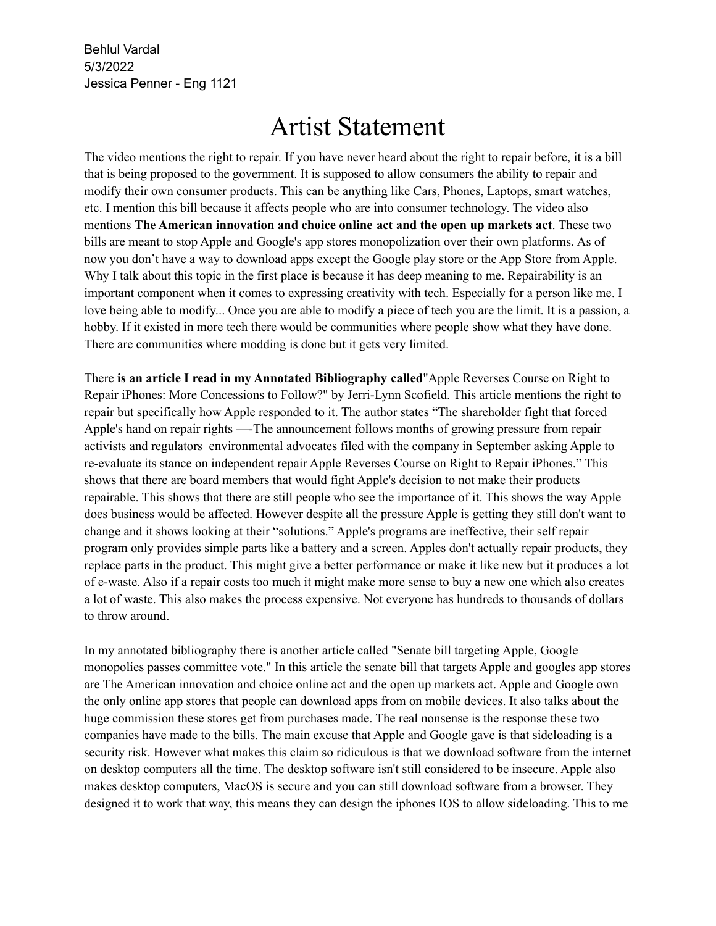Behlul Vardal 5/3/2022 Jessica Penner - Eng 1121

## Artist Statement

The video mentions the right to repair. If you have never heard about the right to repair before, it is a bill that is being proposed to the government. It is supposed to allow consumers the ability to repair and modify their own consumer products. This can be anything like Cars, Phones, Laptops, smart watches, etc. I mention this bill because it affects people who are into consumer technology. The video also mentions **The American innovation and choice online act and the open up markets act**. These two bills are meant to stop Apple and Google's app stores monopolization over their own platforms. As of now you don't have a way to download apps except the Google play store or the App Store from Apple. Why I talk about this topic in the first place is because it has deep meaning to me. Repairability is an important component when it comes to expressing creativity with tech. Especially for a person like me. I love being able to modify... Once you are able to modify a piece of tech you are the limit. It is a passion, a hobby. If it existed in more tech there would be communities where people show what they have done. There are communities where modding is done but it gets very limited.

There **is an article I read in my Annotated Bibliography called**"Apple Reverses Course on Right to Repair iPhones: More Concessions to Follow?" by Jerri-Lynn Scofield. This article mentions the right to repair but specifically how Apple responded to it. The author states "The shareholder fight that forced Apple's hand on repair rights —-The announcement follows months of growing pressure from repair activists and regulators environmental advocates filed with the company in September asking Apple to re-evaluate its stance on independent repair Apple Reverses Course on Right to Repair iPhones." This shows that there are board members that would fight Apple's decision to not make their products repairable. This shows that there are still people who see the importance of it. This shows the way Apple does business would be affected. However despite all the pressure Apple is getting they still don't want to change and it shows looking at their "solutions." Apple's programs are ineffective, their self repair program only provides simple parts like a battery and a screen. Apples don't actually repair products, they replace parts in the product. This might give a better performance or make it like new but it produces a lot of e-waste. Also if a repair costs too much it might make more sense to buy a new one which also creates a lot of waste. This also makes the process expensive. Not everyone has hundreds to thousands of dollars to throw around.

In my annotated bibliography there is another article called "Senate bill targeting Apple, Google monopolies passes committee vote." In this article the senate bill that targets Apple and googles app stores are The American innovation and choice online act and the open up markets act. Apple and Google own the only online app stores that people can download apps from on mobile devices. It also talks about the huge commission these stores get from purchases made. The real nonsense is the response these two companies have made to the bills. The main excuse that Apple and Google gave is that sideloading is a security risk. However what makes this claim so ridiculous is that we download software from the internet on desktop computers all the time. The desktop software isn't still considered to be insecure. Apple also makes desktop computers, MacOS is secure and you can still download software from a browser. They designed it to work that way, this means they can design the iphones IOS to allow sideloading. This to me